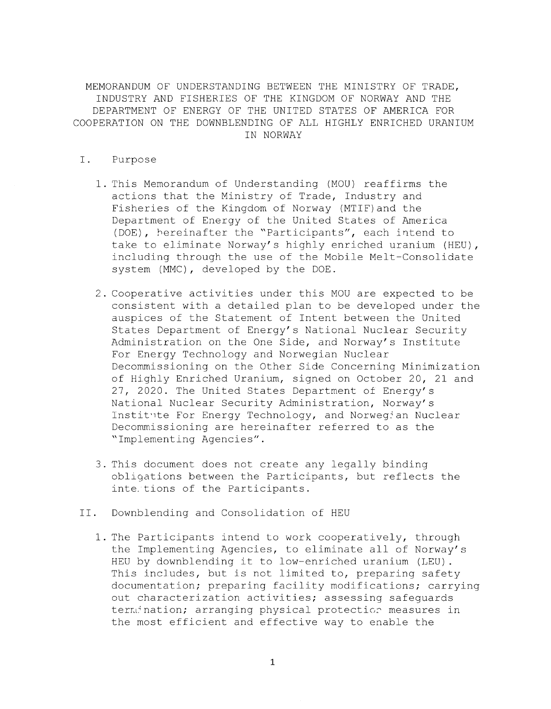MEMORANDUM OF UNDERSTANDING BETWEEN THE MINISTRY OF TRADE, INDUSTRY AND FISHERIES OF THE KINGDOM OF NORWAY AND THE DEPARTMENT OF ENERGY OF THE UNITED STATES OF AMERICA FOR COOPERATION ON THE DOWNBLENDING OF ALL HIGHLY ENRICHED URANIUM IN NORWAY

- I. Purpose
	- 1. This Memorandum of Understanding (MOU) reaffirms the actions that the Ministry of Trade, Industry and Fisheries of the Kingdom of Norway (MTIF)and the Department of Energy of the United States of America (DOE), hereinafter the "Participants", each intend to take to eliminate Norway's highly enriched uranium (HEU), including through the use of the Mobile Melt-Consolidate system (MMC), developed by the DOE.
	- 2. Cooperative activities under this MOU are expected to be consistent with a detailed plan to be developed under the auspices of the Statement of Intent between the United States Department of Energy's National Nuclear Security Administration on the One Side, and Norway's Institute For Energy Technology and Norwegian Nuclear Decommissioning on the Other Side Concerning Minimization of Highly Enriched Uranium, signed on October 20, 21 and 27, 2020. The United States Department of Energy's National Nuclear Security Administration, Norway's Institute For Energy Technology, and Norwegian Nuclear Decommissioning are hereinafter referred to as the "Implementing Agencies".
	- 3. This document does not create any legally binding obligations between the Participants, but reflects the inte. tions of the Participants.
- II. Downblending and Consolidation of HEU
	- 1. The Participants intend to work cooperatively, through the Implementing Agencies, to eliminate all of Norway's HEU by downblending it to low-enriched uranium (LEU). This includes, but is not limited to, preparing safety documentation; preparing facility modifications; carrying out characterization activities; assessing safeguards termination; arranging physical protection measures in the most efficient and effective way to enable the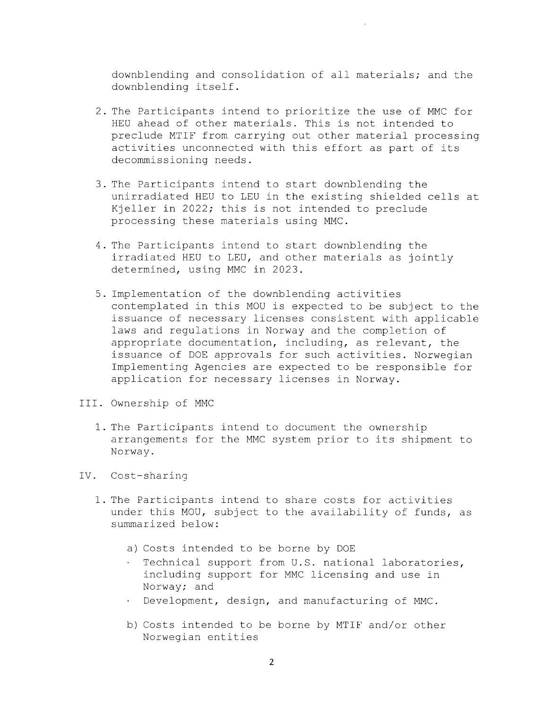downblending and consolidation of all materials; and the downblending itself.

- 2. The Participants intend to prioritize the use of MMC for HEU ahead of other materials. This is not intended to preclude MTIF from carrying out other material processing activities unconnected with this effort as part of its decommissioning needs.
- 3. The Participants intend to start downblending the unirradiated HEU to LEU in the existing shielded cells at Kjeller in 2022; this is not intended to preclude processing these materials using MMC.
- 4. The Participants intend to start downblending the irradiated HEU to LEU, and other materials as jointly determined, using MMC in 2023.
- 5. Implementation of the downblending activities contemplated in this MOU is expected to be subject to the issuance of necessary licenses consistent with applicable laws and regulations in Norway and the completion of appropriate documentation, including, as relevant, the issuance of DOE approvals for such activities. Norwegian Implementing Agencies are expected to be responsible for application for necessary licenses in Norway.
- III. Ownership of MMC
	- 1. The Participants intend to document the ownership arrangements for the MMC system prior to its shipment to Norway.
- IV. Cost-sharing
	- 1. The Participants intend to share costs for activities under this MOU, subject to the availability of funds, as summarized below:
		- a) Costs intended to be borne by DOE
		- . Technical support from U.S. national laboratories, including support for MMC licensing and use in Norway; and
		- Development, design, and manufacturing of MMC.
		- b) Costs intended to be borne by MTIF and/or other Norwegian entities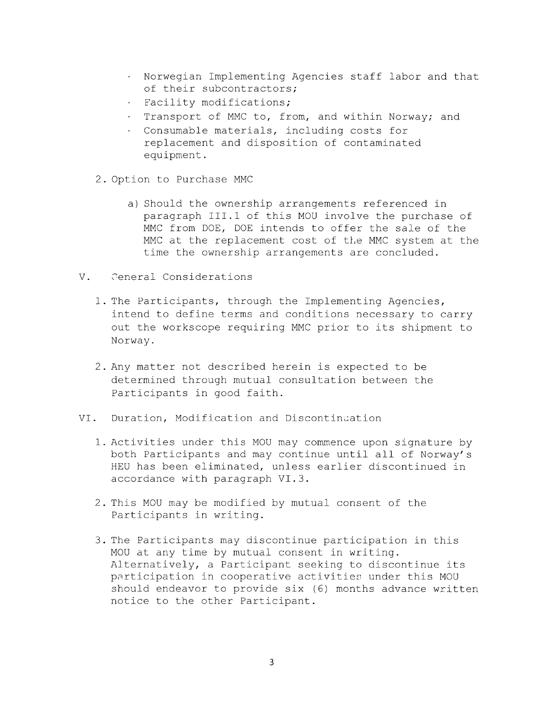- Norwegian Implementing Agencies staff labor and that of their subcontractors;
- . Facility modifications;
- . Transport of MMC to, from, and within Norway; and
- $\bullet$  . Consumable materials, including costs for replacement and disposition of contaminated equipment.
- 2. Option to Purchase MMC
	- a) Should the ownership arrangements referenced in paragraph III.1 of this MOU involve the purchase of MMC from DOE, DOE intends to offer the sale of the MMC at the replacement cost of the MMC system at the time the ownership arrangements are concluded.
- V. Ceneral Considerations
	- 1. The Participants, through the Implementing Agencies, intend to define terms and conditions necessary to carry out the workscope requiring MMC prior to its shipment to Norway.
	- 2. Any matter not described herein is expected to be determined through mutual consultation between the Participants in good faith.
- VI. Duration, Modification and Discontinuation
	- 1. Activities under this MOU may commence upon signature by both Participants and may continue until all of Norway's HEU has been eliminated, unless earlier discontinued in accordance with paragraph VI.3.
	- 2. This MOU may be modified by mutual consent of the Participants in writing.
	- 3. The Participants may discontinue participation in this MOU at any time by mutual consent in writing. Alternatively, a Participant seeking to discontinue its participation in cooperative activities under this MOU should endeavor to provide six (6) months advance written notice to the other Participant.